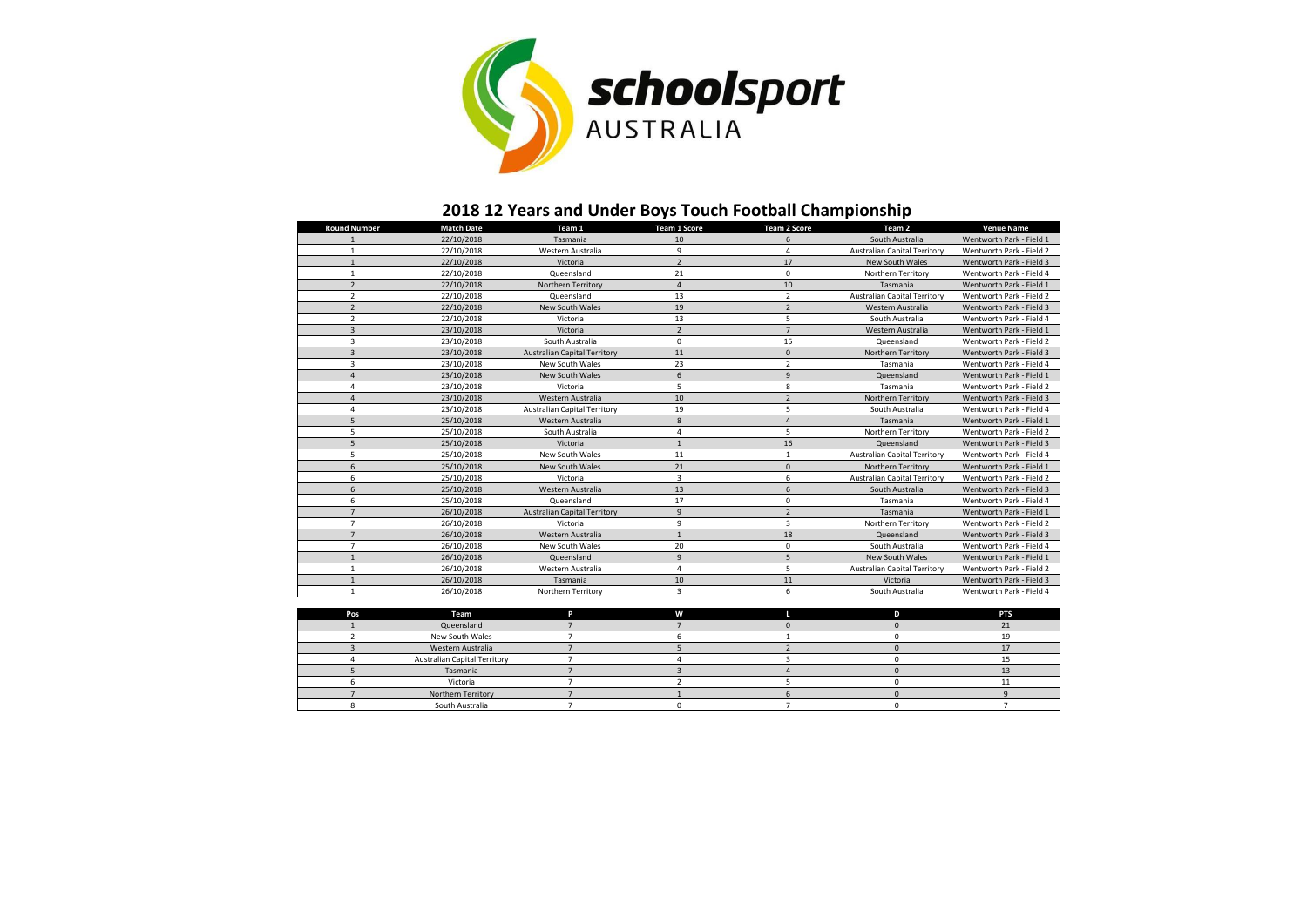

## **2018 12 Years and Under Boys Touch Football Championship**

| <b>Round Number</b> | <b>Match Date</b> | Team 1                              | <b>Team 1 Score</b>      | <b>Team 2 Score</b>     | Team 2                              | <b>Venue Name</b>        |
|---------------------|-------------------|-------------------------------------|--------------------------|-------------------------|-------------------------------------|--------------------------|
|                     | 22/10/2018        | Tasmania                            | 10                       | 6                       | South Australia                     | Wentworth Park - Field 1 |
|                     | 22/10/2018        | Western Australia                   | 9                        | 4                       | <b>Australian Capital Territory</b> | Wentworth Park - Field 2 |
|                     | 22/10/2018        | Victoria                            | $\overline{\phantom{a}}$ | 17                      | <b>New South Wales</b>              | Wentworth Park - Field 3 |
| 1                   | 22/10/2018        | Queensland                          | 21                       | $\mathbf 0$             | Northern Territory                  | Wentworth Park - Field 4 |
| $\overline{2}$      | 22/10/2018        | Northern Territory                  | 4                        | 10                      | Tasmania                            | Wentworth Park - Field 1 |
| $\overline{2}$      | 22/10/2018        | Queensland                          | 13                       | $\overline{2}$          | <b>Australian Capital Territory</b> | Wentworth Park - Field 2 |
| $\overline{2}$      | 22/10/2018        | <b>New South Wales</b>              | 19                       | $\overline{2}$          | Western Australia                   | Wentworth Park - Field 3 |
| $\overline{2}$      | 22/10/2018        | Victoria                            | 13                       | 5                       | South Australia                     | Wentworth Park - Field 4 |
| $\overline{3}$      | 23/10/2018        | Victoria                            | $\overline{2}$           | $\overline{7}$          | Western Australia                   | Wentworth Park - Field 1 |
| 3                   | 23/10/2018        | South Australia                     | $\Omega$                 | 15                      | Queensland                          | Wentworth Park - Field 2 |
| 3                   | 23/10/2018        | <b>Australian Capital Territory</b> | 11                       | $\mathbf{0}$            | Northern Territory                  | Wentworth Park - Field 3 |
| 3                   | 23/10/2018        | <b>New South Wales</b>              | 23                       | $\overline{2}$          | Tasmania                            | Wentworth Park - Field 4 |
| $\overline{a}$      | 23/10/2018        | <b>New South Wales</b>              | 6                        | 9                       | Queensland                          | Wentworth Park - Field 1 |
| 4                   | 23/10/2018        | Victoria                            | 5                        | 8                       | Tasmania                            | Wentworth Park - Field 2 |
| $\overline{a}$      | 23/10/2018        | Western Australia                   | 10                       | $\overline{2}$          | Northern Territory                  | Wentworth Park - Field 3 |
| 4                   | 23/10/2018        | <b>Australian Capital Territory</b> | 19                       | 5                       | South Australia                     | Wentworth Park - Field 4 |
| 5                   | 25/10/2018        | Western Australia                   | 8                        | $\overline{a}$          | Tasmania                            | Wentworth Park - Field 1 |
| 5                   | 25/10/2018        | South Australia                     | 4                        | 5                       | Northern Territory                  | Wentworth Park - Field 2 |
| 5                   | 25/10/2018        | Victoria                            | $\mathbf{1}$             | 16                      | Queensland                          | Wentworth Park - Field 3 |
| 5                   | 25/10/2018        | <b>New South Wales</b>              | 11                       | 1                       | <b>Australian Capital Territory</b> | Wentworth Park - Field 4 |
| 6                   | 25/10/2018        | New South Wales                     | 21                       | $\mathbf{0}$            | Northern Territory                  | Wentworth Park - Field 1 |
| 6                   | 25/10/2018        | Victoria                            | 3                        | 6                       | <b>Australian Capital Territory</b> | Wentworth Park - Field 2 |
| 6                   | 25/10/2018        | Western Australia                   | 13                       | 6                       | South Australia                     | Wentworth Park - Field 3 |
| 6                   | 25/10/2018        | Queensland                          | 17                       | 0                       | Tasmania                            | Wentworth Park - Field 4 |
| $\overline{7}$      | 26/10/2018        | <b>Australian Capital Territory</b> | 9                        | $\overline{2}$          | Tasmania                            | Wentworth Park - Field 1 |
| $\overline{7}$      | 26/10/2018        | Victoria                            | 9                        | $\overline{\mathbf{3}}$ | Northern Territory                  | Wentworth Park - Field 2 |
| $\overline{7}$      | 26/10/2018        | Western Australia                   | $\mathbf{1}$             | 18                      | Queensland                          | Wentworth Park - Field 3 |
| $\overline{7}$      | 26/10/2018        | New South Wales                     | 20                       | 0                       | South Australia                     | Wentworth Park - Field 4 |
|                     | 26/10/2018        | Queensland                          | 9                        | 5                       | New South Wales                     | Wentworth Park - Field 1 |
| 1                   | 26/10/2018        | Western Australia                   | 4                        | 5                       | <b>Australian Capital Territory</b> | Wentworth Park - Field 2 |
|                     | 26/10/2018        | Tasmania                            | 10                       | 11                      | Victoria                            | Wentworth Park - Field 3 |
| $\mathbf{1}$        | 26/10/2018        | Northern Territory                  | 3                        | 6                       | South Australia                     | Wentworth Park - Field 4 |
|                     |                   |                                     |                          |                         |                                     |                          |

| Pos | Team                                | W |  | <b>PTS</b> |
|-----|-------------------------------------|---|--|------------|
|     | Queensland                          |   |  |            |
|     | New South Wales                     |   |  |            |
|     | Western Australia                   |   |  |            |
|     | <b>Australian Capital Territory</b> |   |  |            |
|     | Tasmania                            |   |  |            |
|     | Victoria                            |   |  |            |
|     | Northern Territory                  |   |  |            |
|     | South Australia                     |   |  |            |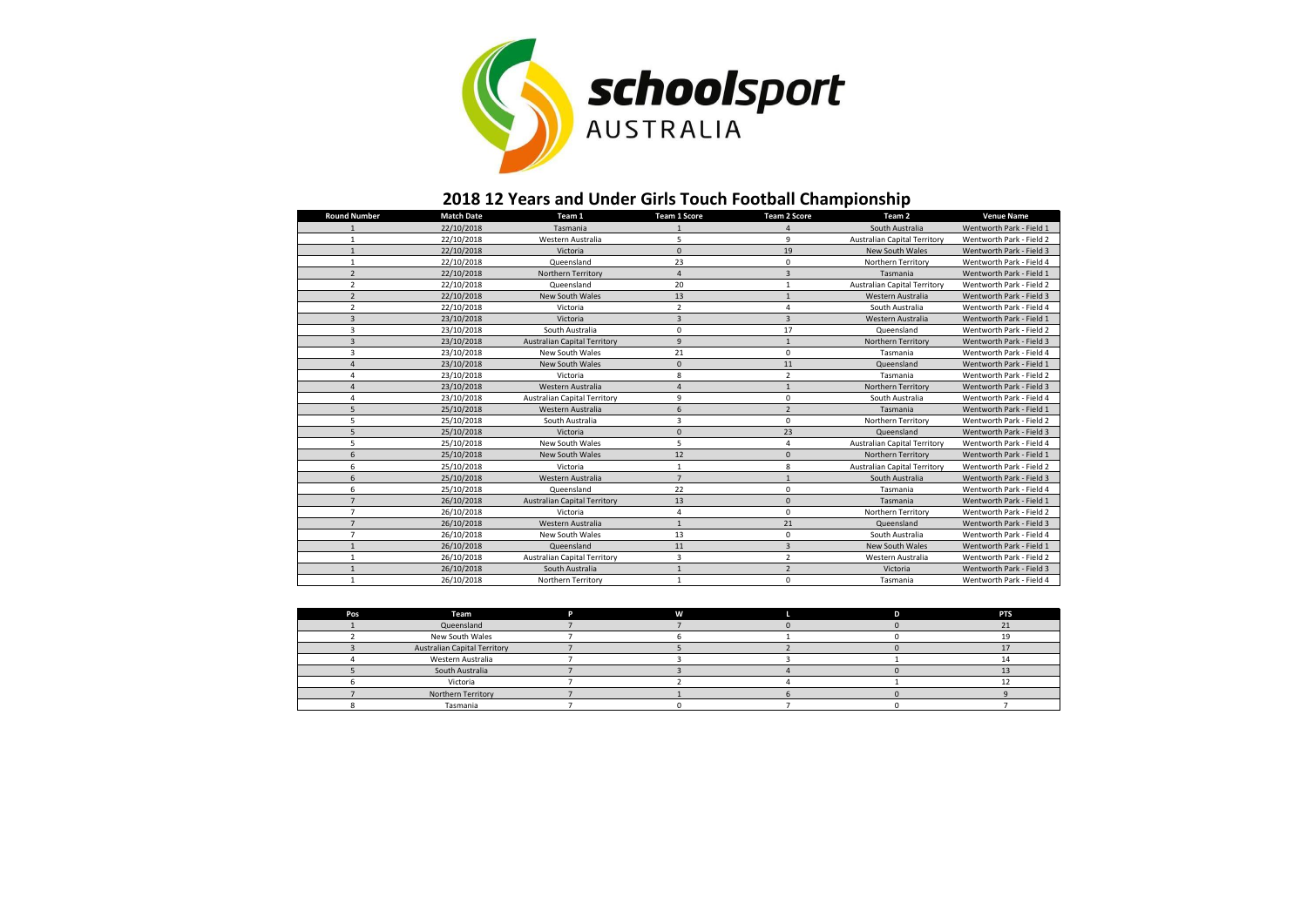

## **2018 12 Years and Under Girls Touch Football Championship**

| <b>Round Number</b>      | <b>Match Date</b> | Team 1                              | <b>Team 1 Score</b>     | <b>Team 2 Score</b> | Team <sub>2</sub>                   | <b>Venue Name</b>        |
|--------------------------|-------------------|-------------------------------------|-------------------------|---------------------|-------------------------------------|--------------------------|
|                          | 22/10/2018        | Tasmania                            |                         | $\overline{a}$      | South Australia                     | Wentworth Park - Field 1 |
|                          | 22/10/2018        | Western Australia                   | 5                       | 9                   | <b>Australian Capital Territory</b> | Wentworth Park - Field 2 |
| $\mathbf{1}$             | 22/10/2018        | Victoria                            | $\Omega$                | 19                  | <b>New South Wales</b>              | Wentworth Park - Field 3 |
| $\mathbf{1}$             | 22/10/2018        | Queensland                          | 23                      | $\mathbf 0$         | Northern Territory                  | Wentworth Park - Field 4 |
| $\overline{2}$           | 22/10/2018        | Northern Territory                  | $\overline{4}$          | $\overline{3}$      | Tasmania                            | Wentworth Park - Field 1 |
| $\overline{\phantom{a}}$ | 22/10/2018        | Queensland                          | 20                      | $\mathbf{1}$        | <b>Australian Capital Territory</b> | Wentworth Park - Field 2 |
| $\overline{2}$           | 22/10/2018        | <b>New South Wales</b>              | 13                      | $\mathbf{1}$        | Western Australia                   | Wentworth Park - Field 3 |
| $\overline{2}$           | 22/10/2018        | Victoria                            | $\mathcal{P}$           | $\overline{a}$      | South Australia                     | Wentworth Park - Field 4 |
| $\overline{3}$           | 23/10/2018        | Victoria                            | $\overline{3}$          | $\overline{3}$      | Western Australia                   | Wentworth Park - Field 1 |
| 3                        | 23/10/2018        | South Australia                     | $\Omega$                | 17                  | Queensland                          | Wentworth Park - Field 2 |
| $\overline{3}$           | 23/10/2018        | <b>Australian Capital Territory</b> | $\overline{9}$          | $\mathbf{1}$        | Northern Territory                  | Wentworth Park - Field 3 |
| 3                        | 23/10/2018        | New South Wales                     | 21                      | $\mathbf 0$         | Tasmania                            | Wentworth Park - Field 4 |
| 4                        | 23/10/2018        | New South Wales                     | $\mathbf{0}$            | 11                  | Queensland                          | Wentworth Park - Field 1 |
| Δ                        | 23/10/2018        | Victoria                            | 8                       | $\overline{2}$      | Tasmania                            | Wentworth Park - Field 2 |
| $\Delta$                 | 23/10/2018        | Western Australia                   |                         | $\mathbf{1}$        | Northern Territory                  | Wentworth Park - Field 3 |
| Δ                        | 23/10/2018        | <b>Australian Capital Territory</b> | q                       | $\mathbf 0$         | South Australia                     | Wentworth Park - Field 4 |
| 5                        | 25/10/2018        | Western Australia                   | 6                       | $\overline{2}$      | Tasmania                            | Wentworth Park - Field 1 |
| 5                        | 25/10/2018        | South Australia                     | $\overline{\mathbf{3}}$ | $\mathbf 0$         | Northern Territory                  | Wentworth Park - Field 2 |
| 5                        | 25/10/2018        | Victoria                            | $\mathbf{0}$            | 23                  | Queensland                          | Wentworth Park - Field 3 |
| 5                        | 25/10/2018        | New South Wales                     | 5                       | $\overline{4}$      | <b>Australian Capital Territory</b> | Wentworth Park - Field 4 |
| 6                        | 25/10/2018        | <b>New South Wales</b>              | 12                      | $\mathbf 0$         | <b>Northern Territory</b>           | Wentworth Park - Field 1 |
| 6                        | 25/10/2018        | Victoria                            | $\mathbf{1}$            | 8                   | <b>Australian Capital Territory</b> | Wentworth Park - Field 2 |
| 6                        | 25/10/2018        | Western Australia                   | $\overline{7}$          | $\mathbf{1}$        | South Australia                     | Wentworth Park - Field 3 |
| 6                        | 25/10/2018        | Queensland                          | 22                      | $\mathbf 0$         | Tasmania                            | Wentworth Park - Field 4 |
| $\overline{7}$           | 26/10/2018        | <b>Australian Capital Territory</b> | 13                      | $\mathbf{0}$        | Tasmania                            | Wentworth Park - Field 1 |
| $\overline{7}$           | 26/10/2018        | Victoria                            | 4                       | 0                   | Northern Territory                  | Wentworth Park - Field 2 |
| $\overline{7}$           | 26/10/2018        | Western Australia                   | $\mathbf{1}$            | 21                  | Queensland                          | Wentworth Park - Field 3 |
| $\overline{7}$           | 26/10/2018        | <b>New South Wales</b>              | 13                      | $\mathbf 0$         | South Australia                     | Wentworth Park - Field 4 |
| $\mathbf{1}$             | 26/10/2018        | Queensland                          | 11                      | $\overline{3}$      | <b>New South Wales</b>              | Wentworth Park - Field 1 |
| 1                        | 26/10/2018        | <b>Australian Capital Territory</b> | $\overline{3}$          | $\overline{2}$      | Western Australia                   | Wentworth Park - Field 2 |
|                          | 26/10/2018        | South Australia                     |                         | $\overline{2}$      | Victoria                            | Wentworth Park - Field 3 |
| 1                        | 26/10/2018        | Northern Territory                  | $\mathbf{1}$            | $\pmb{0}$           | Tasmania                            | Wentworth Park - Field 4 |

| Pos | Team                                | n | W | n | <b>PTS</b> |
|-----|-------------------------------------|---|---|---|------------|
|     | Queensland                          |   |   |   |            |
|     | New South Wales                     |   |   |   |            |
|     | <b>Australian Capital Territory</b> |   |   |   |            |
|     | Western Australia                   |   |   |   |            |
|     | South Australia                     |   |   |   |            |
|     | Victoria                            |   |   |   |            |
|     | Northern Territory                  |   |   |   |            |
|     | Tasmania                            |   |   |   |            |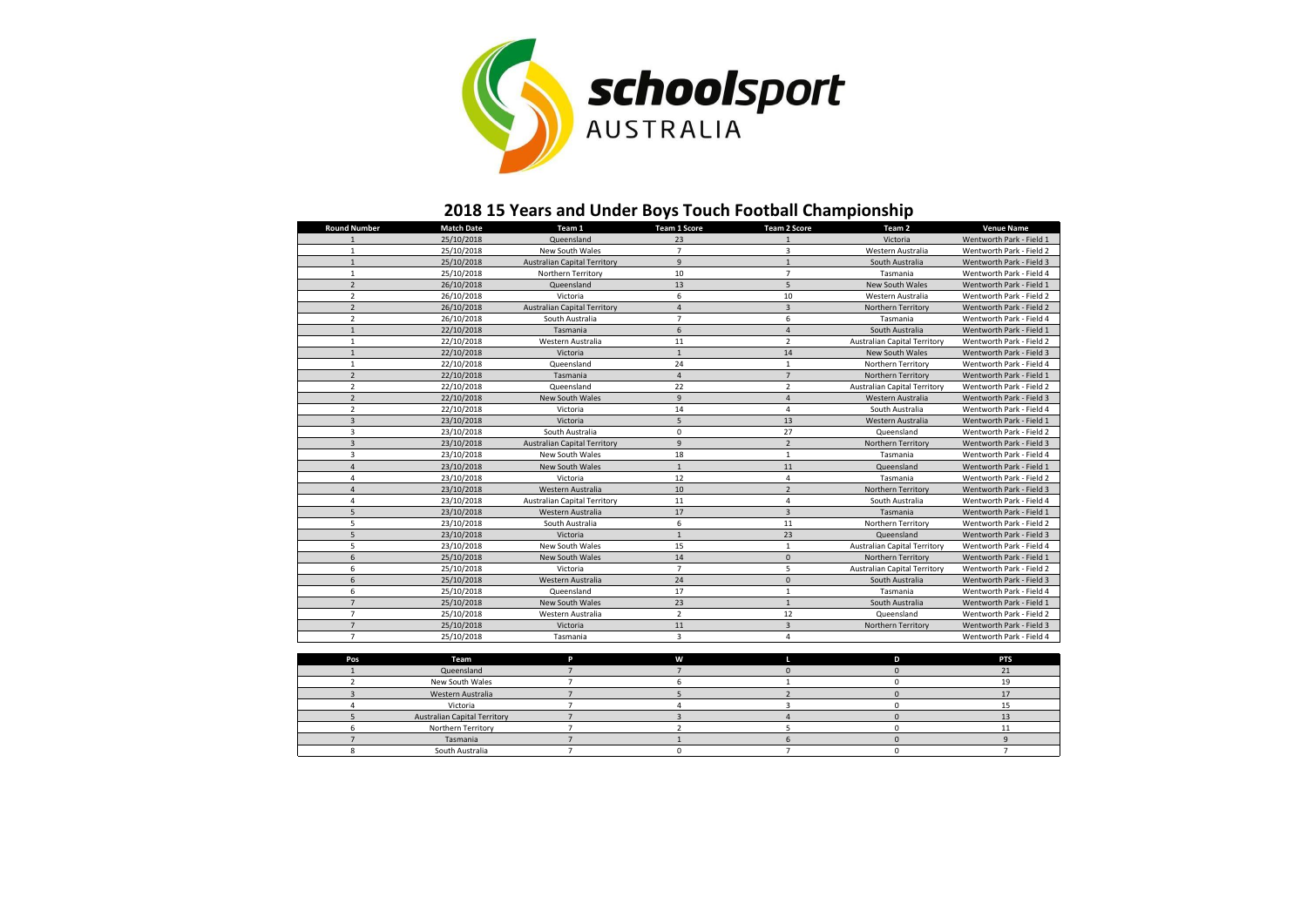

## **2018 15 Years and Under Boys Touch Football Championship**

| <b>Round Number</b> | <b>Match Date</b> | Team 1                              | <b>Team 1 Score</b> | <b>Team 2 Score</b> | Team <sub>2</sub>                   | <b>Venue Name</b>        |
|---------------------|-------------------|-------------------------------------|---------------------|---------------------|-------------------------------------|--------------------------|
|                     | 25/10/2018        | Queensland                          | 23                  |                     | Victoria                            | Wentworth Park - Field 1 |
|                     | 25/10/2018        | New South Wales                     | $\overline{7}$      | 3                   | Western Australia                   | Wentworth Park - Field 2 |
| $\mathbf{1}$        | 25/10/2018        | <b>Australian Capital Territory</b> | $\mathbf{q}$        | $\mathbf{1}$        | South Australia                     | Wentworth Park - Field 3 |
| $\mathbf{1}$        | 25/10/2018        | Northern Territory                  | 10                  | $\overline{7}$      | Tasmania                            | Wentworth Park - Field 4 |
| $\overline{2}$      | 26/10/2018        | Queensland                          | 13                  | 5                   | New South Wales                     | Wentworth Park - Field 1 |
| $\overline{2}$      | 26/10/2018        | Victoria                            | 6                   | 10                  | Western Australia                   | Wentworth Park - Field 2 |
| $\overline{2}$      | 26/10/2018        | <b>Australian Capital Territory</b> | $\overline{4}$      | 3                   | Northern Territory                  | Wentworth Park - Field 2 |
| $\overline{2}$      | 26/10/2018        | South Australia                     | $\overline{7}$      | 6                   | Tasmania                            | Wentworth Park - Field 4 |
| $\mathbf{1}$        | 22/10/2018        | Tasmania                            | 6                   | $\overline{a}$      | South Australia                     | Wentworth Park - Field 1 |
| $\mathbf{1}$        | 22/10/2018        | Western Australia                   | 11                  | $\overline{2}$      | <b>Australian Capital Territory</b> | Wentworth Park - Field 2 |
| $\mathbf{1}$        | 22/10/2018        | Victoria                            | $\mathbf{1}$        | 14                  | New South Wales                     | Wentworth Park - Field 3 |
| $\mathbf{1}$        | 22/10/2018        | Queensland                          | 24                  | $\mathbf{1}$        | Northern Territory                  | Wentworth Park - Field 4 |
| $\overline{2}$      | 22/10/2018        | Tasmania                            | $\overline{4}$      | $\overline{7}$      | Northern Territory                  | Wentworth Park - Field 1 |
| $\overline{2}$      | 22/10/2018        | Queensland                          | 22                  | $\overline{2}$      | <b>Australian Capital Territory</b> | Wentworth Park - Field 2 |
| $\overline{2}$      | 22/10/2018        | New South Wales                     | 9                   | $\overline{4}$      | Western Australia                   | Wentworth Park - Field 3 |
| $\overline{2}$      | 22/10/2018        | Victoria                            | 14                  | 4                   | South Australia                     | Wentworth Park - Field 4 |
| 3                   | 23/10/2018        | Victoria                            | 5                   | 13                  | Western Australia                   | Wentworth Park - Field 1 |
| $\overline{3}$      | 23/10/2018        | South Australia                     | $\mathbf 0$         | 27                  | Queensland                          | Wentworth Park - Field 2 |
| $\overline{3}$      | 23/10/2018        | <b>Australian Capital Territory</b> | 9                   | $\overline{2}$      | Northern Territory                  | Wentworth Park - Field 3 |
| 3                   | 23/10/2018        | <b>New South Wales</b>              | 18                  | $\mathbf{1}$        | Tasmania                            | Wentworth Park - Field 4 |
| $\overline{4}$      | 23/10/2018        | New South Wales                     | 1                   | 11                  | Queensland                          | Wentworth Park - Field 1 |
| 4                   | 23/10/2018        | Victoria                            | 12                  | $\overline{4}$      | Tasmania                            | Wentworth Park - Field 2 |
| $\overline{4}$      | 23/10/2018        | Western Australia                   | 10                  | $\overline{2}$      | Northern Territory                  | Wentworth Park - Field 3 |
| 4                   | 23/10/2018        | <b>Australian Capital Territory</b> | $11\,$              | $\overline{4}$      | South Australia                     | Wentworth Park - Field 4 |
| 5                   | 23/10/2018        | Western Australia                   | 17                  | 3                   | Tasmania                            | Wentworth Park - Field 1 |
| 5                   | 23/10/2018        | South Australia                     | 6                   | 11                  | Northern Territory                  | Wentworth Park - Field 2 |
| 5                   | 23/10/2018        | Victoria                            | $\mathbf{1}$        | 23                  | Queensland                          | Wentworth Park - Field 3 |
| 5                   | 23/10/2018        | New South Wales                     | 15                  | $\mathbf{1}$        | <b>Australian Capital Territory</b> | Wentworth Park - Field 4 |
| 6                   | 25/10/2018        | <b>New South Wales</b>              | 14                  | $\mathbf{0}$        | Northern Territory                  | Wentworth Park - Field 1 |
| 6                   | 25/10/2018        | Victoria                            | $\overline{7}$      | 5                   | <b>Australian Capital Territory</b> | Wentworth Park - Field 2 |
| 6                   | 25/10/2018        | Western Australia                   | 24                  | $\mathbf{0}$        | South Australia                     | Wentworth Park - Field 3 |
| 6                   | 25/10/2018        | Queensland                          | 17                  | $\mathbf{1}$        | Tasmania                            | Wentworth Park - Field 4 |
| $\overline{7}$      | 25/10/2018        | New South Wales                     | 23                  | $\mathbf{1}$        | South Australia                     | Wentworth Park - Field 1 |
| $\overline{7}$      | 25/10/2018        | Western Australia                   | $\overline{2}$      | 12                  | Queensland                          | Wentworth Park - Field 2 |
| $\overline{7}$      | 25/10/2018        | Victoria                            | $11\,$              | $\overline{3}$      | Northern Territory                  | Wentworth Park - Field 3 |
| $\overline{7}$      | 25/10/2018        | Tasmania                            | $\overline{3}$      | 4                   |                                     | Wentworth Park - Field 4 |
|                     |                   |                                     |                     |                     |                                     |                          |
| Pos                 | Team              | P                                   | W                   |                     | D                                   | <b>PTS</b>               |
|                     | Queensland        | $\overline{z}$                      | $\overline{z}$      | $\Omega$            | $\Omega$                            | 21                       |

| <b>FUD</b> | $-$                                 |  |  | . |
|------------|-------------------------------------|--|--|---|
|            | Queensland                          |  |  |   |
|            | New South Wales                     |  |  |   |
|            | Western Australia                   |  |  |   |
|            | Victoria                            |  |  |   |
|            | <b>Australian Capital Territory</b> |  |  |   |
|            | Northern Territory                  |  |  |   |
|            | Tasmania                            |  |  |   |
|            | South Australia                     |  |  |   |
|            |                                     |  |  |   |